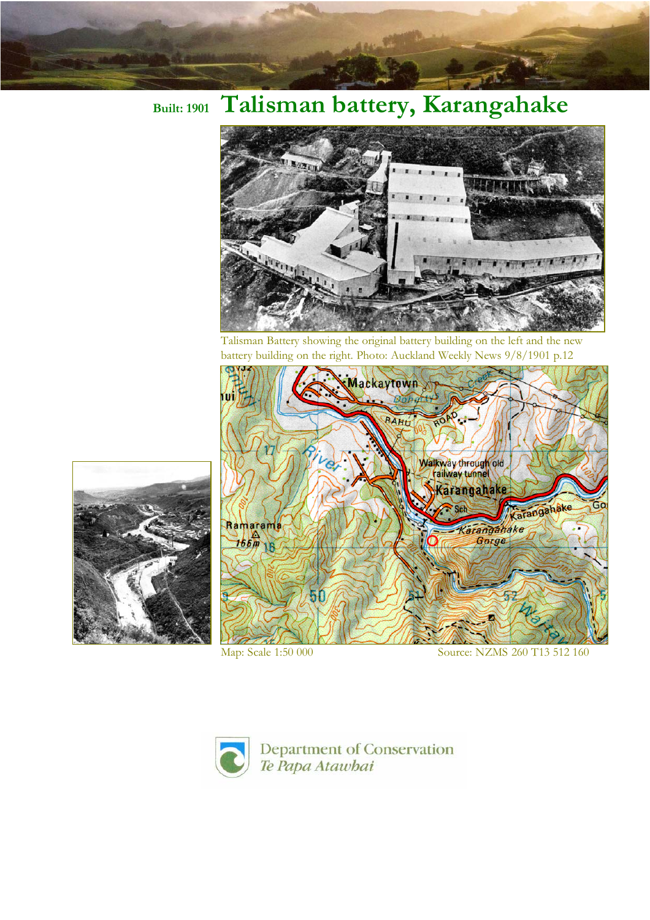## **Built: 1901 Talisman battery, Karangahake**



Talisman Battery showing the original battery building on the left and the new battery building on the right. Photo: Auckland Weekly News 9/8/1901 p.12





Map: Scale 1:50 000 Source: NZMS 260 T13 512 160